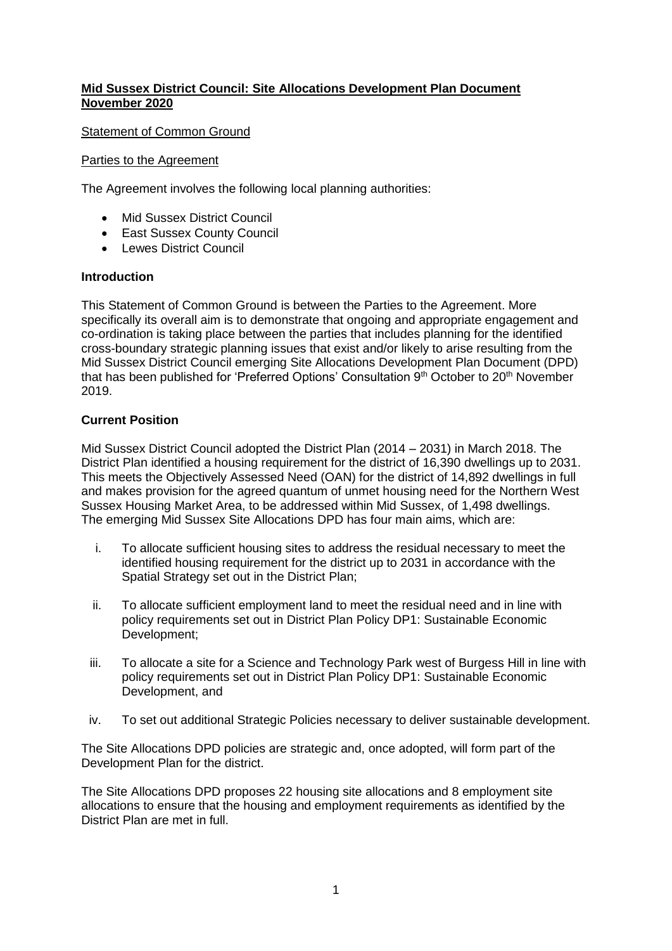# **Mid Sussex District Council: Site Allocations Development Plan Document November 2020**

Statement of Common Ground

## Parties to the Agreement

The Agreement involves the following local planning authorities:

- Mid Sussex District Council
- East Sussex County Council
- Lewes District Council

## **Introduction**

This Statement of Common Ground is between the Parties to the Agreement. More specifically its overall aim is to demonstrate that ongoing and appropriate engagement and co-ordination is taking place between the parties that includes planning for the identified cross-boundary strategic planning issues that exist and/or likely to arise resulting from the Mid Sussex District Council emerging Site Allocations Development Plan Document (DPD) that has been published for 'Preferred Options' Consultation  $9<sup>th</sup>$  October to  $20<sup>th</sup>$  November 2019.

# **Current Position**

Mid Sussex District Council adopted the District Plan (2014 – 2031) in March 2018. The District Plan identified a housing requirement for the district of 16,390 dwellings up to 2031. This meets the Objectively Assessed Need (OAN) for the district of 14,892 dwellings in full and makes provision for the agreed quantum of unmet housing need for the Northern West Sussex Housing Market Area, to be addressed within Mid Sussex, of 1,498 dwellings. The emerging Mid Sussex Site Allocations DPD has four main aims, which are:

- i. To allocate sufficient housing sites to address the residual necessary to meet the identified housing requirement for the district up to 2031 in accordance with the Spatial Strategy set out in the District Plan;
- ii. To allocate sufficient employment land to meet the residual need and in line with policy requirements set out in District Plan Policy DP1: Sustainable Economic Development;
- iii. To allocate a site for a Science and Technology Park west of Burgess Hill in line with policy requirements set out in District Plan Policy DP1: Sustainable Economic Development, and
- iv. To set out additional Strategic Policies necessary to deliver sustainable development.

The Site Allocations DPD policies are strategic and, once adopted, will form part of the Development Plan for the district.

The Site Allocations DPD proposes 22 housing site allocations and 8 employment site allocations to ensure that the housing and employment requirements as identified by the District Plan are met in full.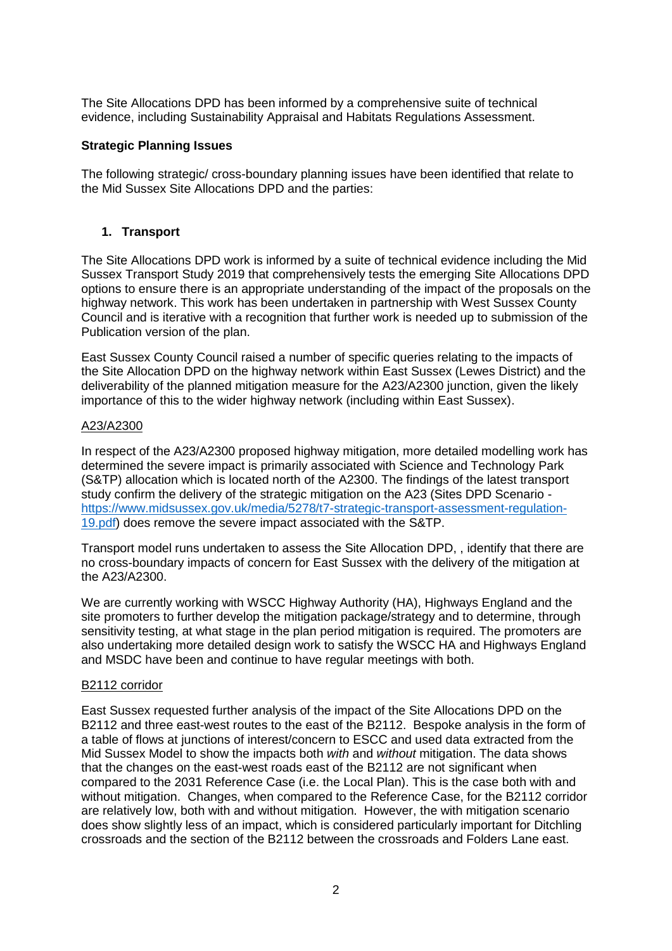The Site Allocations DPD has been informed by a comprehensive suite of technical evidence, including Sustainability Appraisal and Habitats Regulations Assessment.

## **Strategic Planning Issues**

The following strategic/ cross-boundary planning issues have been identified that relate to the Mid Sussex Site Allocations DPD and the parties:

## **1. Transport**

The Site Allocations DPD work is informed by a suite of technical evidence including the Mid Sussex Transport Study 2019 that comprehensively tests the emerging Site Allocations DPD options to ensure there is an appropriate understanding of the impact of the proposals on the highway network. This work has been undertaken in partnership with West Sussex County Council and is iterative with a recognition that further work is needed up to submission of the Publication version of the plan.

East Sussex County Council raised a number of specific queries relating to the impacts of the Site Allocation DPD on the highway network within East Sussex (Lewes District) and the deliverability of the planned mitigation measure for the A23/A2300 junction, given the likely importance of this to the wider highway network (including within East Sussex).

#### A23/A2300

In respect of the A23/A2300 proposed highway mitigation, more detailed modelling work has determined the severe impact is primarily associated with Science and Technology Park (S&TP) allocation which is located north of the A2300. The findings of the latest transport study confirm the delivery of the strategic mitigation on the A23 (Sites DPD Scenario [https://www.midsussex.gov.uk/media/5278/t7-strategic-transport-assessment-regulation-](https://eur02.safelinks.protection.outlook.com/?url=https%3A%2F%2Fwww.midsussex.gov.uk%2Fmedia%2F5278%2Ft7-strategic-transport-assessment-regulation-19.pdf&data=04%7C01%7CAlice.Henstock%40midsussex.gov.uk%7Ccc3eb95acb964610318e08d87fdfebe6%7C248de4f9d13548cca4c8babd7e9e8703%7C0%7C0%7C637399947000623303%7CUnknown%7CTWFpbGZsb3d8eyJWIjoiMC4wLjAwMDAiLCJQIjoiV2luMzIiLCJBTiI6Ik1haWwiLCJXVCI6Mn0%3D%7C1000&sdata=zgwwhV6ebVtsSFJiI326HjzD4ehjmiW6PEix9s1StTg%3D&reserved=0)[19.pdf\)](https://eur02.safelinks.protection.outlook.com/?url=https%3A%2F%2Fwww.midsussex.gov.uk%2Fmedia%2F5278%2Ft7-strategic-transport-assessment-regulation-19.pdf&data=04%7C01%7CAlice.Henstock%40midsussex.gov.uk%7Ccc3eb95acb964610318e08d87fdfebe6%7C248de4f9d13548cca4c8babd7e9e8703%7C0%7C0%7C637399947000623303%7CUnknown%7CTWFpbGZsb3d8eyJWIjoiMC4wLjAwMDAiLCJQIjoiV2luMzIiLCJBTiI6Ik1haWwiLCJXVCI6Mn0%3D%7C1000&sdata=zgwwhV6ebVtsSFJiI326HjzD4ehjmiW6PEix9s1StTg%3D&reserved=0) does remove the severe impact associated with the S&TP.

Transport model runs undertaken to assess the Site Allocation DPD, , identify that there are no cross-boundary impacts of concern for East Sussex with the delivery of the mitigation at the A23/A2300.

We are currently working with WSCC Highway Authority (HA), Highways England and the site promoters to further develop the mitigation package/strategy and to determine, through sensitivity testing, at what stage in the plan period mitigation is required. The promoters are also undertaking more detailed design work to satisfy the WSCC HA and Highways England and MSDC have been and continue to have regular meetings with both.

#### B2112 corridor

East Sussex requested further analysis of the impact of the Site Allocations DPD on the B2112 and three east-west routes to the east of the B2112. Bespoke analysis in the form of a table of flows at junctions of interest/concern to ESCC and used data extracted from the Mid Sussex Model to show the impacts both *with* and *without* mitigation. The data shows that the changes on the east-west roads east of the B2112 are not significant when compared to the 2031 Reference Case (i.e. the Local Plan). This is the case both with and without mitigation. Changes, when compared to the Reference Case, for the B2112 corridor are relatively low, both with and without mitigation. However, the with mitigation scenario does show slightly less of an impact, which is considered particularly important for Ditchling crossroads and the section of the B2112 between the crossroads and Folders Lane east.